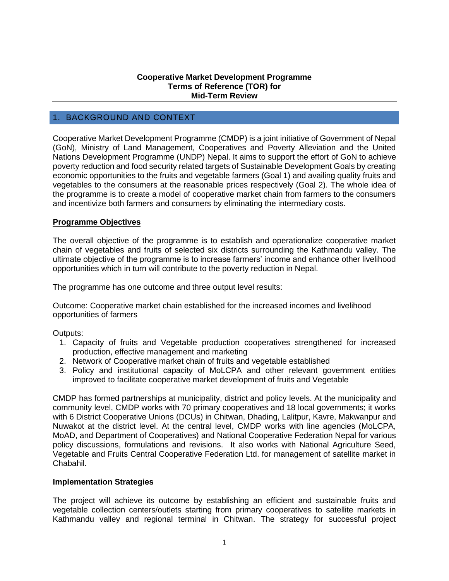#### **Cooperative Market Development Programme Terms of Reference (TOR) for Mid-Term Review**

## 1. BACKGROUND AND CONTEXT

Cooperative Market Development Programme (CMDP) is a joint initiative of Government of Nepal (GoN), Ministry of Land Management, Cooperatives and Poverty Alleviation and the United Nations Development Programme (UNDP) Nepal. It aims to support the effort of GoN to achieve poverty reduction and food security related targets of Sustainable Development Goals by creating economic opportunities to the fruits and vegetable farmers (Goal 1) and availing quality fruits and vegetables to the consumers at the reasonable prices respectively (Goal 2). The whole idea of the programme is to create a model of cooperative market chain from farmers to the consumers and incentivize both farmers and consumers by eliminating the intermediary costs.

#### **Programme Objectives**

The overall objective of the programme is to establish and operationalize cooperative market chain of vegetables and fruits of selected six districts surrounding the Kathmandu valley. The ultimate objective of the programme is to increase farmers' income and enhance other livelihood opportunities which in turn will contribute to the poverty reduction in Nepal.

The programme has one outcome and three output level results:

Outcome: Cooperative market chain established for the increased incomes and livelihood opportunities of farmers

#### Outputs:

- 1. Capacity of fruits and Vegetable production cooperatives strengthened for increased production, effective management and marketing
- 2. Network of Cooperative market chain of fruits and vegetable established
- 3. Policy and institutional capacity of MoLCPA and other relevant government entities improved to facilitate cooperative market development of fruits and Vegetable

CMDP has formed partnerships at municipality, district and policy levels. At the municipality and community level, CMDP works with 70 primary cooperatives and 18 local governments; it works with 6 District Cooperative Unions (DCUs) in Chitwan, Dhading, Lalitpur, Kavre, Makwanpur and Nuwakot at the district level. At the central level, CMDP works with line agencies (MoLCPA, MoAD, and Department of Cooperatives) and National Cooperative Federation Nepal for various policy discussions, formulations and revisions. It also works with National Agriculture Seed, Vegetable and Fruits Central Cooperative Federation Ltd. for management of satellite market in Chabahil.

#### **Implementation Strategies**

The project will achieve its outcome by establishing an efficient and sustainable fruits and vegetable collection centers/outlets starting from primary cooperatives to satellite markets in Kathmandu valley and regional terminal in Chitwan. The strategy for successful project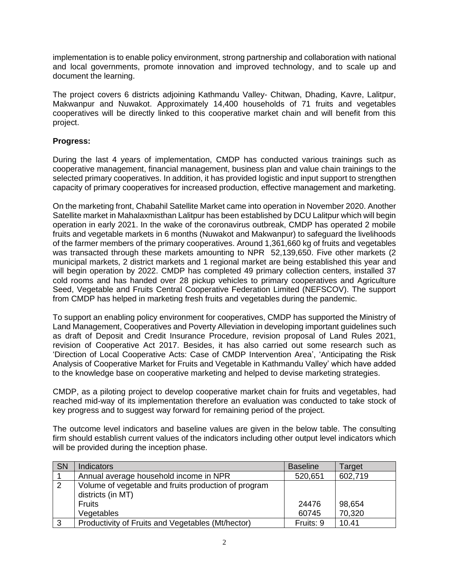implementation is to enable policy environment, strong partnership and collaboration with national and local governments, promote innovation and improved technology, and to scale up and document the learning.

The project covers 6 districts adjoining Kathmandu Valley- Chitwan, Dhading, Kavre, Lalitpur, Makwanpur and Nuwakot. Approximately 14,400 households of 71 fruits and vegetables cooperatives will be directly linked to this cooperative market chain and will benefit from this project.

## **Progress:**

During the last 4 years of implementation, CMDP has conducted various trainings such as cooperative management, financial management, business plan and value chain trainings to the selected primary cooperatives. In addition, it has provided logistic and input support to strengthen capacity of primary cooperatives for increased production, effective management and marketing.

On the marketing front, Chabahil Satellite Market came into operation in November 2020. Another Satellite market in Mahalaxmisthan Lalitpur has been established by DCU Lalitpur which will begin operation in early 2021. In the wake of the coronavirus outbreak, CMDP has operated 2 mobile fruits and vegetable markets in 6 months (Nuwakot and Makwanpur) to safeguard the livelihoods of the farmer members of the primary cooperatives. Around 1,361,660 kg of fruits and vegetables was transacted through these markets amounting to NPR 52,139,650. Five other markets (2 municipal markets, 2 district markets and 1 regional market are being established this year and will begin operation by 2022. CMDP has completed 49 primary collection centers, installed 37 cold rooms and has handed over 28 pickup vehicles to primary cooperatives and Agriculture Seed, Vegetable and Fruits Central Cooperative Federation Limited (NEFSCOV). The support from CMDP has helped in marketing fresh fruits and vegetables during the pandemic.

To support an enabling policy environment for cooperatives, CMDP has supported the Ministry of Land Management, Cooperatives and Poverty Alleviation in developing important guidelines such as draft of Deposit and Credit Insurance Procedure, revision proposal of Land Rules 2021, revision of Cooperative Act 2017. Besides, it has also carried out some research such as 'Direction of Local Cooperative Acts: Case of CMDP Intervention Area', 'Anticipating the Risk Analysis of Cooperative Market for Fruits and Vegetable in Kathmandu Valley' which have added to the knowledge base on cooperative marketing and helped to devise marketing strategies.

CMDP, as a piloting project to develop cooperative market chain for fruits and vegetables, had reached mid-way of its implementation therefore an evaluation was conducted to take stock of key progress and to suggest way forward for remaining period of the project.

The outcome level indicators and baseline values are given in the below table. The consulting firm should establish current values of the indicators including other output level indicators which will be provided during the inception phase.

| <b>SN</b> | <b>Indicators</b>                                                         | <b>Baseline</b> | Target  |
|-----------|---------------------------------------------------------------------------|-----------------|---------|
|           | Annual average household income in NPR                                    | 520,651         | 602,719 |
| 2         | Volume of vegetable and fruits production of program<br>districts (in MT) |                 |         |
|           | <b>Fruits</b>                                                             | 24476           | 98,654  |
|           | Vegetables                                                                | 60745           | 70,320  |
| ີ         | Productivity of Fruits and Vegetables (Mt/hector)                         | Fruits: 9       | 10.41   |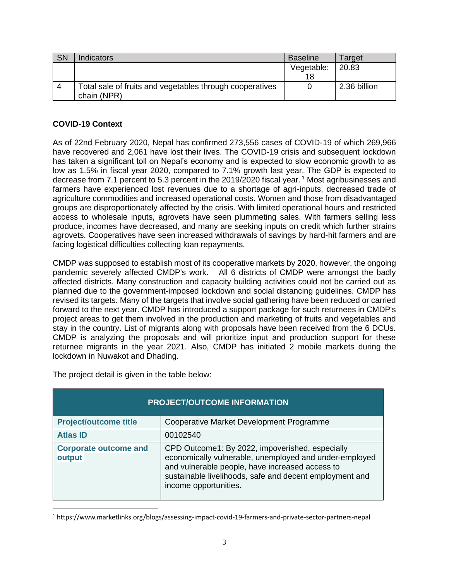| <b>SN</b> | <b>Indicators</b>                                                       | <b>Baseline</b>  | Target       |
|-----------|-------------------------------------------------------------------------|------------------|--------------|
|           |                                                                         | Vegetable:<br>18 | 20.83        |
| 4         | Total sale of fruits and vegetables through cooperatives<br>chain (NPR) |                  | 2.36 billion |

## **COVID-19 Context**

As of 22nd February 2020, Nepal has confirmed 273,556 cases of COVID-19 of which 269,966 have recovered and 2,061 have lost their lives. The COVID-19 crisis and subsequent lockdown has taken a significant toll on Nepal's economy and is expected to slow economic growth to as low as 1.5% in fiscal year 2020, compared to 7.1% growth last year. The GDP is expected to decrease from 7.1 percent to 5.3 percent in the 2019/2020 fiscal year.<sup>1</sup> Most agribusinesses and farmers have experienced lost revenues due to a shortage of agri-inputs, decreased trade of agriculture commodities and increased operational costs. Women and those from disadvantaged groups are disproportionately affected by the crisis. With limited operational hours and restricted access to wholesale inputs, agrovets have seen plummeting sales. With farmers selling less produce, incomes have decreased, and many are seeking inputs on credit which further strains agrovets. Cooperatives have seen increased withdrawals of savings by hard-hit farmers and are facing logistical difficulties collecting loan repayments.

CMDP was supposed to establish most of its cooperative markets by 2020, however, the ongoing pandemic severely affected CMDP's work. All 6 districts of CMDP were amongst the badly affected districts. Many construction and capacity building activities could not be carried out as planned due to the government-imposed lockdown and social distancing guidelines. CMDP has revised its targets. Many of the targets that involve social gathering have been reduced or carried forward to the next year. CMDP has introduced a support package for such returnees in CMDP's project areas to get them involved in the production and marketing of fruits and vegetables and stay in the country. List of migrants along with proposals have been received from the 6 DCUs. CMDP is analyzing the proposals and will prioritize input and production support for these returnee migrants in the year 2021. Also, CMDP has initiated 2 mobile markets during the lockdown in Nuwakot and Dhading.

| <b>PROJECT/OUTCOME INFORMATION</b>     |                                                                                                                                                                                                                                                  |  |  |
|----------------------------------------|--------------------------------------------------------------------------------------------------------------------------------------------------------------------------------------------------------------------------------------------------|--|--|
| <b>Project/outcome title</b>           | Cooperative Market Development Programme                                                                                                                                                                                                         |  |  |
| <b>Atlas ID</b>                        | 00102540                                                                                                                                                                                                                                         |  |  |
| <b>Corporate outcome and</b><br>output | CPD Outcome1: By 2022, impoverished, especially<br>economically vulnerable, unemployed and under-employed<br>and vulnerable people, have increased access to<br>sustainable livelihoods, safe and decent employment and<br>income opportunities. |  |  |

The project detail is given in the table below:

<sup>1</sup> https://www.marketlinks.org/blogs/assessing-impact-covid-19-farmers-and-private-sector-partners-nepal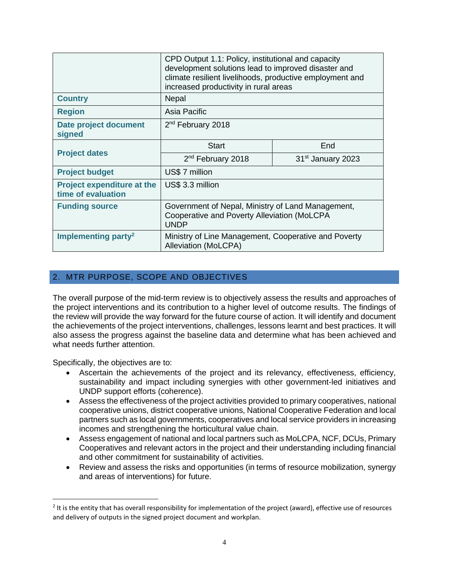|                                                         | CPD Output 1.1: Policy, institutional and capacity<br>development solutions lead to improved disaster and<br>climate resilient livelihoods, productive employment and<br>increased productivity in rural areas |                               |  |
|---------------------------------------------------------|----------------------------------------------------------------------------------------------------------------------------------------------------------------------------------------------------------------|-------------------------------|--|
| <b>Country</b>                                          | Nepal                                                                                                                                                                                                          |                               |  |
| <b>Region</b>                                           | Asia Pacific                                                                                                                                                                                                   |                               |  |
| Date project document<br>signed                         | 2 <sup>nd</sup> February 2018                                                                                                                                                                                  |                               |  |
|                                                         | <b>Start</b>                                                                                                                                                                                                   | End                           |  |
| <b>Project dates</b>                                    | 2 <sup>nd</sup> February 2018                                                                                                                                                                                  | 31 <sup>st</sup> January 2023 |  |
| <b>Project budget</b>                                   | US\$7 million                                                                                                                                                                                                  |                               |  |
| <b>Project expenditure at the</b><br>time of evaluation | US\$ 3.3 million                                                                                                                                                                                               |                               |  |
| <b>Funding source</b>                                   | Government of Nepal, Ministry of Land Management,<br>Cooperative and Poverty Alleviation (MoLCPA<br><b>UNDP</b>                                                                                                |                               |  |
| Implementing party <sup>2</sup>                         | Ministry of Line Management, Cooperative and Poverty<br><b>Alleviation (MoLCPA)</b>                                                                                                                            |                               |  |

## 2. MTR PURPOSE, SCOPE AND OBJECTIVES

The overall purpose of the mid-term review is to objectively assess the results and approaches of the project interventions and its contribution to a higher level of outcome results. The findings of the review will provide the way forward for the future course of action. It will identify and document the achievements of the project interventions, challenges, lessons learnt and best practices. It will also assess the progress against the baseline data and determine what has been achieved and what needs further attention.

Specifically, the objectives are to:

- Ascertain the achievements of the project and its relevancy, effectiveness, efficiency, sustainability and impact including synergies with other government-led initiatives and UNDP support efforts (coherence).
- Assess the effectiveness of the project activities provided to primary cooperatives, national cooperative unions, district cooperative unions, National Cooperative Federation and local partners such as local governments, cooperatives and local service providers in increasing incomes and strengthening the horticultural value chain.
- Assess engagement of national and local partners such as MoLCPA, NCF, DCUs, Primary Cooperatives and relevant actors in the project and their understanding including financial and other commitment for sustainability of activities.
- Review and assess the risks and opportunities (in terms of resource mobilization, synergy and areas of interventions) for future.

<sup>&</sup>lt;sup>2</sup> It is the entity that has overall responsibility for implementation of the project (award), effective use of resources and delivery of outputs in the signed project document and workplan.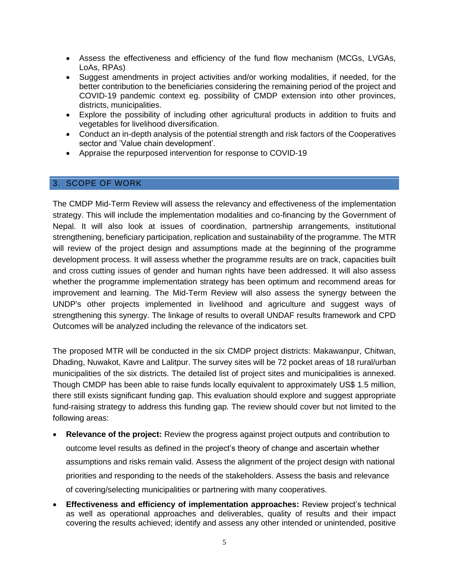- Assess the effectiveness and efficiency of the fund flow mechanism (MCGs, LVGAs, LoAs, RPAs)
- Suggest amendments in project activities and/or working modalities, if needed, for the better contribution to the beneficiaries considering the remaining period of the project and COVID-19 pandemic context eg. possibility of CMDP extension into other provinces, districts, municipalities.
- Explore the possibility of including other agricultural products in addition to fruits and vegetables for livelihood diversification.
- Conduct an in-depth analysis of the potential strength and risk factors of the Cooperatives sector and 'Value chain development'.
- Appraise the repurposed intervention for response to COVID-19

### 3. SCOPE OF WORK

The CMDP Mid-Term Review will assess the relevancy and effectiveness of the implementation strategy. This will include the implementation modalities and co-financing by the Government of Nepal. It will also look at issues of coordination, partnership arrangements, institutional strengthening, beneficiary participation, replication and sustainability of the programme. The MTR will review of the project design and assumptions made at the beginning of the programme development process. It will assess whether the programme results are on track, capacities built and cross cutting issues of gender and human rights have been addressed. It will also assess whether the programme implementation strategy has been optimum and recommend areas for improvement and learning. The Mid-Term Review will also assess the synergy between the UNDP's other projects implemented in livelihood and agriculture and suggest ways of strengthening this synergy. The linkage of results to overall UNDAF results framework and CPD Outcomes will be analyzed including the relevance of the indicators set.

The proposed MTR will be conducted in the six CMDP project districts: Makawanpur, Chitwan, Dhading, Nuwakot, Kavre and Lalitpur. The survey sites will be 72 pocket areas of 18 rural/urban municipalities of the six districts. The detailed list of project sites and municipalities is annexed. Though CMDP has been able to raise funds locally equivalent to approximately US\$ 1.5 million, there still exists significant funding gap. This evaluation should explore and suggest appropriate fund-raising strategy to address this funding gap. The review should cover but not limited to the following areas:

- **Relevance of the project:** Review the progress against project outputs and contribution to outcome level results as defined in the project's theory of change and ascertain whether assumptions and risks remain valid. Assess the alignment of the project design with national priorities and responding to the needs of the stakeholders. Assess the basis and relevance of covering/selecting municipalities or partnering with many cooperatives.
- **Effectiveness and efficiency of implementation approaches:** Review project's technical as well as operational approaches and deliverables, quality of results and their impact covering the results achieved; identify and assess any other intended or unintended, positive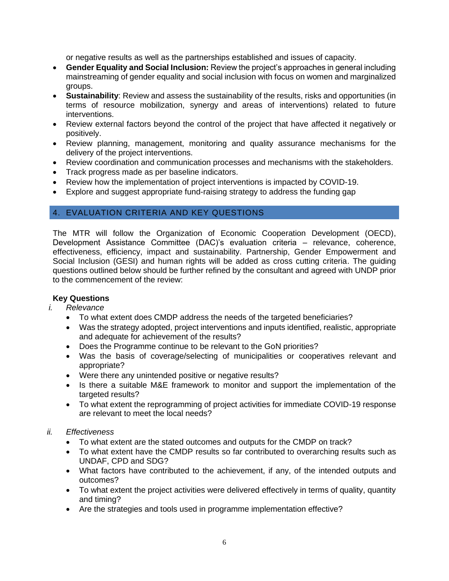or negative results as well as the partnerships established and issues of capacity.

- **Gender Equality and Social Inclusion:** Review the project's approaches in general including mainstreaming of gender equality and social inclusion with focus on women and marginalized groups.
- **Sustainability**: Review and assess the sustainability of the results, risks and opportunities (in terms of resource mobilization, synergy and areas of interventions) related to future interventions.
- Review external factors beyond the control of the project that have affected it negatively or positively.
- Review planning, management, monitoring and quality assurance mechanisms for the delivery of the project interventions.
- Review coordination and communication processes and mechanisms with the stakeholders.
- Track progress made as per baseline indicators.
- Review how the implementation of project interventions is impacted by COVID-19.
- Explore and suggest appropriate fund-raising strategy to address the funding gap

## 4. EVALUATION CRITERIA AND KEY QUESTIONS

The MTR will follow the Organization of Economic Cooperation Development (OECD), Development Assistance Committee (DAC)'s evaluation criteria – relevance, coherence, effectiveness, efficiency, impact and sustainability. Partnership, Gender Empowerment and Social Inclusion (GESI) and human rights will be added as cross cutting criteria. The guiding questions outlined below should be further refined by the consultant and agreed with UNDP prior to the commencement of the review:

### **Key Questions**

- *i. Relevance*
	- To what extent does CMDP address the needs of the targeted beneficiaries?
	- Was the strategy adopted, project interventions and inputs identified, realistic, appropriate and adequate for achievement of the results?
	- Does the Programme continue to be relevant to the GoN priorities?
	- Was the basis of coverage/selecting of municipalities or cooperatives relevant and appropriate?
	- Were there any unintended positive or negative results?
	- Is there a suitable M&E framework to monitor and support the implementation of the targeted results?
	- To what extent the reprogramming of project activities for immediate COVID-19 response are relevant to meet the local needs?

### *ii. Effectiveness*

- To what extent are the stated outcomes and outputs for the CMDP on track?
- To what extent have the CMDP results so far contributed to overarching results such as UNDAF, CPD and SDG?
- What factors have contributed to the achievement, if any, of the intended outputs and outcomes?
- To what extent the project activities were delivered effectively in terms of quality, quantity and timing?
- Are the strategies and tools used in programme implementation effective?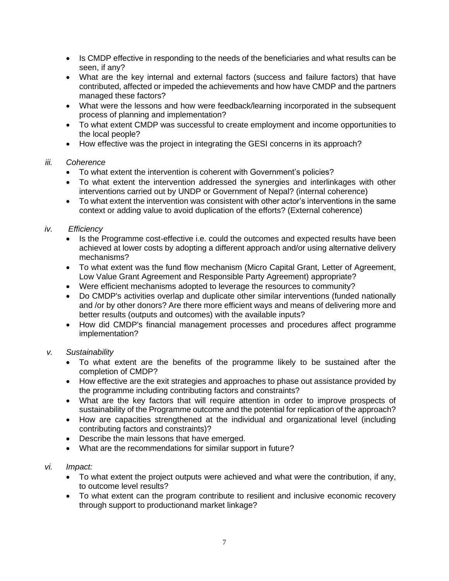- Is CMDP effective in responding to the needs of the beneficiaries and what results can be seen, if any?
- What are the key internal and external factors (success and failure factors) that have contributed, affected or impeded the achievements and how have CMDP and the partners managed these factors?
- What were the lessons and how were feedback/learning incorporated in the subsequent process of planning and implementation?
- To what extent CMDP was successful to create employment and income opportunities to the local people?
- How effective was the project in integrating the GESI concerns in its approach?

## *iii. Coherence*

- To what extent the intervention is coherent with Government's policies?
- To what extent the intervention addressed the synergies and interlinkages with other interventions carried out by UNDP or Government of Nepal? (internal coherence)
- To what extent the intervention was consistent with other actor's interventions in the same context or adding value to avoid duplication of the efforts? (External coherence)

# *iv. Efficiency*

- Is the Programme cost-effective i.e. could the outcomes and expected results have been achieved at lower costs by adopting a different approach and/or using alternative delivery mechanisms?
- To what extent was the fund flow mechanism (Micro Capital Grant, Letter of Agreement, Low Value Grant Agreement and Responsible Party Agreement) appropriate?
- Were efficient mechanisms adopted to leverage the resources to community?
- Do CMDP's activities overlap and duplicate other similar interventions (funded nationally and /or by other donors? Are there more efficient ways and means of delivering more and better results (outputs and outcomes) with the available inputs?
- How did CMDP's financial management processes and procedures affect programme implementation?

## *v. Sustainability*

- To what extent are the benefits of the programme likely to be sustained after the completion of CMDP?
- How effective are the exit strategies and approaches to phase out assistance provided by the programme including contributing factors and constraints?
- What are the key factors that will require attention in order to improve prospects of sustainability of the Programme outcome and the potential for replication of the approach?
- How are capacities strengthened at the individual and organizational level (including contributing factors and constraints)?
- Describe the main lessons that have emerged.
- What are the recommendations for similar support in future?

## *vi. Impact:*

- To what extent the project outputs were achieved and what were the contribution, if any, to outcome level results?
- To what extent can the program contribute to resilient and inclusive economic recovery through support to productionand market linkage?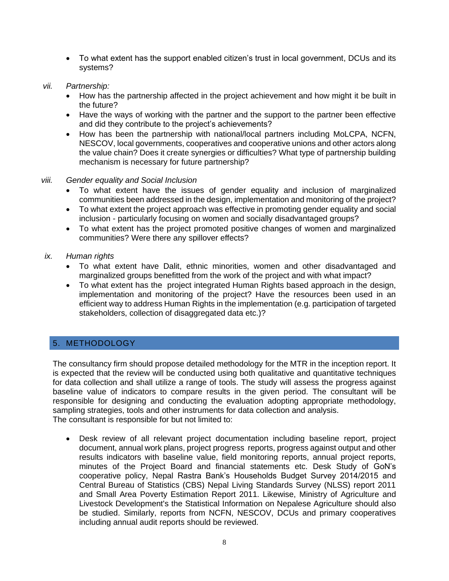• To what extent has the support enabled citizen's trust in local government, DCUs and its systems?

#### *vii. Partnership:*

- How has the partnership affected in the project achievement and how might it be built in the future?
- Have the ways of working with the partner and the support to the partner been effective and did they contribute to the project's achievements?
- How has been the partnership with national/local partners including MoLCPA, NCFN, NESCOV, local governments, cooperatives and cooperative unions and other actors along the value chain? Does it create synergies or difficulties? What type of partnership building mechanism is necessary for future partnership?

#### *viii. Gender equality and Social Inclusion*

- To what extent have the issues of gender equality and inclusion of marginalized communities been addressed in the design, implementation and monitoring of the project?
- To what extent the project approach was effective in promoting gender equality and social inclusion - particularly focusing on women and socially disadvantaged groups?
- To what extent has the project promoted positive changes of women and marginalized communities? Were there any spillover effects?

#### *ix. Human rights*

- To what extent have Dalit, ethnic minorities, women and other disadvantaged and marginalized groups benefitted from the work of the project and with what impact?
- To what extent has the project integrated Human Rights based approach in the design, implementation and monitoring of the project? Have the resources been used in an efficient way to address Human Rights in the implementation (e.g. participation of targeted stakeholders, collection of disaggregated data etc.)?

## 5. METHODOLOGY

The consultancy firm should propose detailed methodology for the MTR in the inception report. It is expected that the review will be conducted using both qualitative and quantitative techniques for data collection and shall utilize a range of tools. The study will assess the progress against baseline value of indicators to compare results in the given period. The consultant will be responsible for designing and conducting the evaluation adopting appropriate methodology, sampling strategies, tools and other instruments for data collection and analysis. The consultant is responsible for but not limited to:

• Desk review of all relevant project documentation including baseline report, project document, annual work plans, project progress reports, progress against output and other results indicators with baseline value, field monitoring reports, annual project reports, minutes of the Project Board and financial statements etc. Desk Study of GoN's cooperative policy, Nepal Rastra Bank's Households Budget Survey 2014/2015 and Central Bureau of Statistics (CBS) Nepal Living Standards Survey (NLSS) report 2011 and Small Area Poverty Estimation Report 2011. Likewise, Ministry of Agriculture and Livestock Development's the Statistical Information on Nepalese Agriculture should also be studied. Similarly, reports from NCFN, NESCOV, DCUs and primary cooperatives including annual audit reports should be reviewed.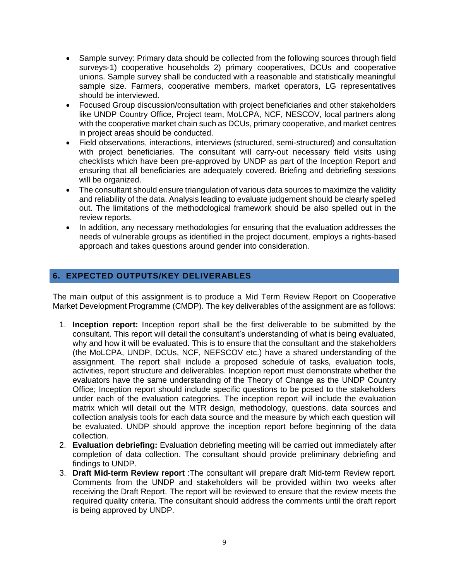- Sample survey: Primary data should be collected from the following sources through field surveys-1) cooperative households 2) primary cooperatives, DCUs and cooperative unions. Sample survey shall be conducted with a reasonable and statistically meaningful sample size. Farmers, cooperative members, market operators, LG representatives should be interviewed.
- Focused Group discussion/consultation with project beneficiaries and other stakeholders like UNDP Country Office, Project team, MoLCPA, NCF, NESCOV, local partners along with the cooperative market chain such as DCUs, primary cooperative, and market centres in project areas should be conducted.
- Field observations, interactions, interviews (structured, semi-structured) and consultation with project beneficiaries. The consultant will carry-out necessary field visits using checklists which have been pre-approved by UNDP as part of the Inception Report and ensuring that all beneficiaries are adequately covered. Briefing and debriefing sessions will be organized.
- The consultant should ensure triangulation of various data sources to maximize the validity and reliability of the data. Analysis leading to evaluate judgement should be clearly spelled out. The limitations of the methodological framework should be also spelled out in the review reports.
- In addition, any necessary methodologies for ensuring that the evaluation addresses the needs of vulnerable groups as identified in the project document, employs a rights-based approach and takes questions around gender into consideration.

## **6. EXPECTED OUTPUTS/KEY DELIVERABLES**

The main output of this assignment is to produce a Mid Term Review Report on Cooperative Market Development Programme (CMDP). The key deliverables of the assignment are as follows:

- 1. **Inception report:** Inception report shall be the first deliverable to be submitted by the consultant. This report will detail the consultant's understanding of what is being evaluated, why and how it will be evaluated. This is to ensure that the consultant and the stakeholders (the MoLCPA, UNDP, DCUs, NCF, NEFSCOV etc.) have a shared understanding of the assignment. The report shall include a proposed schedule of tasks, evaluation tools, activities, report structure and deliverables. Inception report must demonstrate whether the evaluators have the same understanding of the Theory of Change as the UNDP Country Office; Inception report should include specific questions to be posed to the stakeholders under each of the evaluation categories. The inception report will include the evaluation matrix which will detail out the MTR design, methodology, questions, data sources and collection analysis tools for each data source and the measure by which each question will be evaluated. UNDP should approve the inception report before beginning of the data collection.
- 2. **Evaluation debriefing:** Evaluation debriefing meeting will be carried out immediately after completion of data collection. The consultant should provide preliminary debriefing and findings to UNDP.
- 3. **Draft Mid-term Review report** :The consultant will prepare draft Mid-term Review report. Comments from the UNDP and stakeholders will be provided within two weeks after receiving the Draft Report. The report will be reviewed to ensure that the review meets the required quality criteria. The consultant should address the comments until the draft report is being approved by UNDP.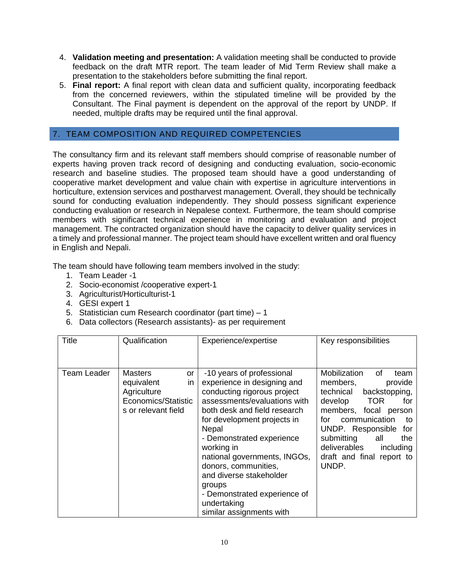- 4. **Validation meeting and presentation:** A validation meeting shall be conducted to provide feedback on the draft MTR report. The team leader of Mid Term Review shall make a presentation to the stakeholders before submitting the final report.
- 5. **Final report:** A final report with clean data and sufficient quality, incorporating feedback from the concerned reviewers, within the stipulated timeline will be provided by the Consultant. The Final payment is dependent on the approval of the report by UNDP. If needed, multiple drafts may be required until the final approval.

## 7. TEAM COMPOSITION AND REQUIRED COMPETENCIES

The consultancy firm and its relevant staff members should comprise of reasonable number of experts having proven track record of designing and conducting evaluation, socio-economic research and baseline studies. The proposed team should have a good understanding of cooperative market development and value chain with expertise in agriculture interventions in horticulture, extension services and postharvest management. Overall, they should be technically sound for conducting evaluation independently. They should possess significant experience conducting evaluation or research in Nepalese context. Furthermore, the team should comprise members with significant technical experience in monitoring and evaluation and project management. The contracted organization should have the capacity to deliver quality services in a timely and professional manner. The project team should have excellent written and oral fluency in English and Nepali.

The team should have following team members involved in the study:

- 1. Team Leader -1
- 2. Socio-economist /cooperative expert-1
- 3. Agriculturist/Horticulturist-1
- 4. GESI expert 1
- 5. Statistician cum Research coordinator (part time) 1
- 6. Data collectors (Research assistants)- as per requirement

| Title       | Qualification                                                                                         | Experience/expertise                                                                                                                                                                                                                                                                                                                                                                                               | Key responsibilities                                                                                                                                                                                                                                                                              |
|-------------|-------------------------------------------------------------------------------------------------------|--------------------------------------------------------------------------------------------------------------------------------------------------------------------------------------------------------------------------------------------------------------------------------------------------------------------------------------------------------------------------------------------------------------------|---------------------------------------------------------------------------------------------------------------------------------------------------------------------------------------------------------------------------------------------------------------------------------------------------|
| Team Leader | <b>Masters</b><br>or<br>equivalent<br>in<br>Agriculture<br>Economics/Statistic<br>s or relevant field | -10 years of professional<br>experience in designing and<br>conducting rigorous project<br>assessments/evaluations with<br>both desk and field research<br>for development projects in<br>Nepal<br>- Demonstrated experience<br>working in<br>national governments, INGOs,<br>donors, communities,<br>and diverse stakeholder<br>groups<br>- Demonstrated experience of<br>undertaking<br>similar assignments with | Mobilization<br>οf<br>team<br>provide<br>members,<br>backstopping,<br>technical<br><b>TOR</b><br>develop<br>for<br>members, focal person<br>communication<br>for<br>to<br>UNDP. Responsible<br>for<br>submitting<br>all<br>the<br>deliverables<br>including<br>draft and final report to<br>UNDP. |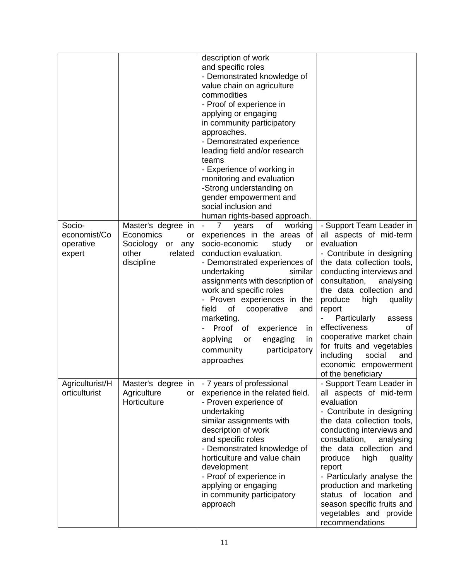|                                               |                                                                                                   | description of work<br>and specific roles<br>- Demonstrated knowledge of<br>value chain on agriculture<br>commodities<br>- Proof of experience in<br>applying or engaging<br>in community participatory<br>approaches.<br>- Demonstrated experience<br>leading field and/or research<br>teams<br>- Experience of working in<br>monitoring and evaluation<br>-Strong understanding on<br>gender empowerment and<br>social inclusion and<br>human rights-based approach. |                                                                                                                                                                                                                                                                                                                                                                                                                                                  |
|-----------------------------------------------|---------------------------------------------------------------------------------------------------|------------------------------------------------------------------------------------------------------------------------------------------------------------------------------------------------------------------------------------------------------------------------------------------------------------------------------------------------------------------------------------------------------------------------------------------------------------------------|--------------------------------------------------------------------------------------------------------------------------------------------------------------------------------------------------------------------------------------------------------------------------------------------------------------------------------------------------------------------------------------------------------------------------------------------------|
| Socio-<br>economist/Co<br>operative<br>expert | Master's degree in<br>Economics<br>or<br>Sociology<br>or<br>any<br>related<br>other<br>discipline | of<br>working<br>7<br>years<br>experiences in the areas of<br>socio-economic<br>study<br><b>or</b><br>conduction evaluation.<br>- Demonstrated experiences of<br>similar<br>undertaking<br>assignments with description of<br>work and specific roles<br>- Proven experiences in the<br>field<br>of<br>cooperative<br>and<br>marketing.<br>Proof<br>of<br>experience<br>in<br>applying<br>engaging<br>in<br>or<br>community<br>participatory<br>approaches             | - Support Team Leader in<br>all aspects of mid-term<br>evaluation<br>- Contribute in designing<br>the data collection tools,<br>conducting interviews and<br>consultation,<br>analysing<br>the data collection and<br>produce<br>high<br>quality<br>report<br>Particularly<br>assess<br>effectiveness<br>οf<br>cooperative market chain<br>for fruits and vegetables<br>including<br>social<br>and<br>economic empowerment<br>of the beneficiary |
| Agriculturist/H<br>orticulturist              | Master's degree<br>in<br>Agriculture<br>or<br>Horticulture                                        | - 7 years of professional<br>experience in the related field.<br>- Proven experience of<br>undertaking<br>similar assignments with<br>description of work<br>and specific roles<br>- Demonstrated knowledge of<br>horticulture and value chain<br>development<br>- Proof of experience in<br>applying or engaging<br>in community participatory<br>approach                                                                                                            | - Support Team Leader in<br>all aspects of mid-term<br>evaluation<br>- Contribute in designing<br>the data collection tools,<br>conducting interviews and<br>consultation,<br>analysing<br>the data collection and<br>produce<br>high<br>quality<br>report<br>- Particularly analyse the<br>production and marketing<br>status of location and<br>season specific fruits and<br>vegetables and provide<br>recommendations                        |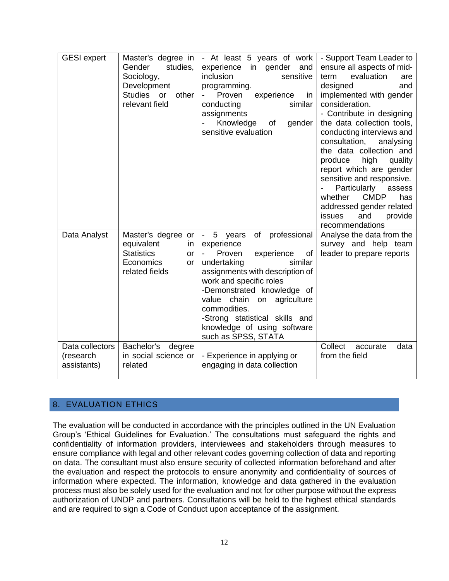| <b>GESI</b> expert                          | Master's degree in<br>Gender<br>studies,<br>Sociology,<br>Development<br><b>Studies</b><br>other<br>or<br>relevant field | - At least 5 years of work<br>experience in gender<br>and<br>sensitive<br>inclusion<br>programming.<br>experience<br>Proven<br>in<br>similar<br>conducting<br>assignments<br>Knowledge<br>gender<br>of<br>sensitive evaluation                                                                                                                              | - Support Team Leader to<br>ensure all aspects of mid-<br>evaluation<br>term<br>are<br>designed<br>and<br>implemented with gender<br>consideration.<br>- Contribute in designing<br>the data collection tools,<br>conducting interviews and<br>consultation,<br>analysing<br>the data collection and<br>high<br>produce<br>quality<br>report which are gender<br>sensitive and responsive.<br>Particularly<br>assess<br><b>CMDP</b><br>whether<br>has<br>addressed gender related<br>provide<br>issues<br>and<br>recommendations |
|---------------------------------------------|--------------------------------------------------------------------------------------------------------------------------|-------------------------------------------------------------------------------------------------------------------------------------------------------------------------------------------------------------------------------------------------------------------------------------------------------------------------------------------------------------|----------------------------------------------------------------------------------------------------------------------------------------------------------------------------------------------------------------------------------------------------------------------------------------------------------------------------------------------------------------------------------------------------------------------------------------------------------------------------------------------------------------------------------|
| Data Analyst                                | Master's degree or<br>equivalent<br>in<br><b>Statistics</b><br><b>or</b><br>Economics<br><b>or</b><br>related fields     | professional<br>5<br>of<br>$\sim$<br>years<br>experience<br>Proven<br>experience<br>0f<br>similar<br>undertaking<br>assignments with description of<br>work and specific roles<br>-Demonstrated knowledge of<br>value<br>chain<br>on<br>agriculture<br>commodities.<br>-Strong statistical skills and<br>knowledge of using software<br>such as SPSS, STATA | Analyse the data from the<br>survey and help team<br>leader to prepare reports                                                                                                                                                                                                                                                                                                                                                                                                                                                   |
| Data collectors<br>(research<br>assistants) | Bachelor's degree<br>in social science or<br>related                                                                     | - Experience in applying or<br>engaging in data collection                                                                                                                                                                                                                                                                                                  | Collect<br>data<br>accurate<br>from the field                                                                                                                                                                                                                                                                                                                                                                                                                                                                                    |

## 8. EVALUATION ETHICS

The evaluation will be conducted in accordance with the principles outlined in the UN Evaluation Group's 'Ethical Guidelines for Evaluation.' The consultations must safeguard the rights and confidentiality of information providers, interviewees and stakeholders through measures to ensure compliance with legal and other relevant codes governing collection of data and reporting on data. The consultant must also ensure security of collected information beforehand and after the evaluation and respect the protocols to ensure anonymity and confidentiality of sources of information where expected. The information, knowledge and data gathered in the evaluation process must also be solely used for the evaluation and not for other purpose without the express authorization of UNDP and partners. Consultations will be held to the highest ethical standards and are required to sign a Code of Conduct upon acceptance of the assignment.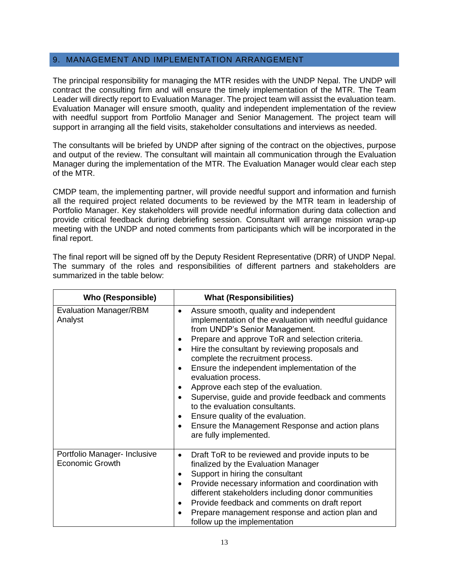#### 9. MANAGEMENT AND IMPLEMENTATION ARRANGEMENT

The principal responsibility for managing the MTR resides with the UNDP Nepal. The UNDP will contract the consulting firm and will ensure the timely implementation of the MTR. The Team Leader will directly report to Evaluation Manager. The project team will assist the evaluation team. Evaluation Manager will ensure smooth, quality and independent implementation of the review with needful support from Portfolio Manager and Senior Management. The project team will support in arranging all the field visits, stakeholder consultations and interviews as needed.

The consultants will be briefed by UNDP after signing of the contract on the objectives, purpose and output of the review. The consultant will maintain all communication through the Evaluation Manager during the implementation of the MTR. The Evaluation Manager would clear each step of the MTR.

CMDP team, the implementing partner, will provide needful support and information and furnish all the required project related documents to be reviewed by the MTR team in leadership of Portfolio Manager. Key stakeholders will provide needful information during data collection and provide critical feedback during debriefing session. Consultant will arrange mission wrap-up meeting with the UNDP and noted comments from participants which will be incorporated in the final report.

The final report will be signed off by the Deputy Resident Representative (DRR) of UNDP Nepal. The summary of the roles and responsibilities of different partners and stakeholders are summarized in the table below:

| <b>Who (Responsible)</b>                               | <b>What (Responsibilities)</b>                                                                                                                                                                                                                                                                                                                                                                                                                                                                                                                                                                                                                                                        |
|--------------------------------------------------------|---------------------------------------------------------------------------------------------------------------------------------------------------------------------------------------------------------------------------------------------------------------------------------------------------------------------------------------------------------------------------------------------------------------------------------------------------------------------------------------------------------------------------------------------------------------------------------------------------------------------------------------------------------------------------------------|
| <b>Evaluation Manager/RBM</b><br>Analyst               | Assure smooth, quality and independent<br>$\bullet$<br>implementation of the evaluation with needful guidance<br>from UNDP's Senior Management.<br>Prepare and approve ToR and selection criteria.<br>$\bullet$<br>Hire the consultant by reviewing proposals and<br>$\bullet$<br>complete the recruitment process.<br>Ensure the independent implementation of the<br>$\bullet$<br>evaluation process.<br>Approve each step of the evaluation.<br>٠<br>Supervise, guide and provide feedback and comments<br>٠<br>to the evaluation consultants.<br>Ensure quality of the evaluation.<br>٠<br>Ensure the Management Response and action plans<br>$\bullet$<br>are fully implemented. |
| Portfolio Manager- Inclusive<br><b>Economic Growth</b> | Draft ToR to be reviewed and provide inputs to be<br>٠<br>finalized by the Evaluation Manager<br>Support in hiring the consultant<br>٠<br>Provide necessary information and coordination with<br>$\bullet$<br>different stakeholders including donor communities<br>Provide feedback and comments on draft report<br>$\bullet$<br>Prepare management response and action plan and<br>$\bullet$<br>follow up the implementation                                                                                                                                                                                                                                                        |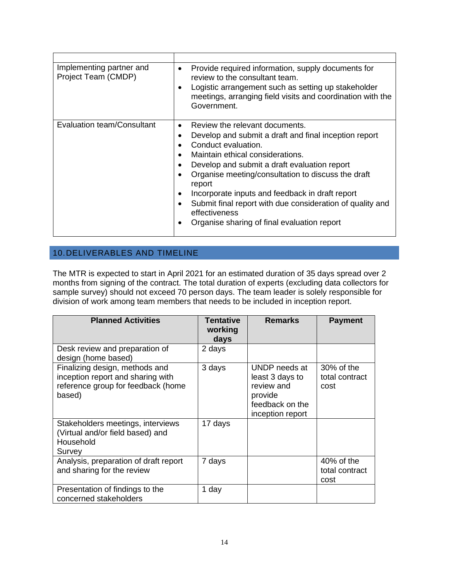| Implementing partner and<br>Project Team (CMDP) | Provide required information, supply documents for<br>$\bullet$<br>review to the consultant team.<br>Logistic arrangement such as setting up stakeholder<br>$\bullet$<br>meetings, arranging field visits and coordination with the<br>Government.                                                                                                                                                                                                                                                                                                              |
|-------------------------------------------------|-----------------------------------------------------------------------------------------------------------------------------------------------------------------------------------------------------------------------------------------------------------------------------------------------------------------------------------------------------------------------------------------------------------------------------------------------------------------------------------------------------------------------------------------------------------------|
| <b>Evaluation team/Consultant</b>               | Review the relevant documents.<br>$\bullet$<br>Develop and submit a draft and final inception report<br>$\bullet$<br>Conduct evaluation.<br>$\bullet$<br>Maintain ethical considerations.<br>$\bullet$<br>Develop and submit a draft evaluation report<br>$\bullet$<br>Organise meeting/consultation to discuss the draft<br>$\bullet$<br>report<br>Incorporate inputs and feedback in draft report<br>$\bullet$<br>Submit final report with due consideration of quality and<br>$\bullet$<br>effectiveness<br>Organise sharing of final evaluation report<br>٠ |

# 10.DELIVERABLES AND TIMELINE

The MTR is expected to start in April 2021 for an estimated duration of 35 days spread over 2 months from signing of the contract. The total duration of experts (excluding data collectors for sample survey) should not exceed 70 person days. The team leader is solely responsible for division of work among team members that needs to be included in inception report.

| <b>Planned Activities</b>                                                                                           | <b>Tentative</b><br>working<br>days | <b>Remarks</b>                                                                                   | <b>Payment</b>                       |
|---------------------------------------------------------------------------------------------------------------------|-------------------------------------|--------------------------------------------------------------------------------------------------|--------------------------------------|
| Desk review and preparation of<br>design (home based)                                                               | 2 days                              |                                                                                                  |                                      |
| Finalizing design, methods and<br>inception report and sharing with<br>reference group for feedback (home<br>based) | 3 days                              | UNDP needs at<br>least 3 days to<br>review and<br>provide<br>feedback on the<br>inception report | 30% of the<br>total contract<br>cost |
| Stakeholders meetings, interviews<br>(Virtual and/or field based) and<br>Household<br>Survey                        | 17 days                             |                                                                                                  |                                      |
| Analysis, preparation of draft report<br>and sharing for the review                                                 | 7 days                              |                                                                                                  | 40% of the<br>total contract<br>cost |
| Presentation of findings to the<br>concerned stakeholders                                                           | 1 day                               |                                                                                                  |                                      |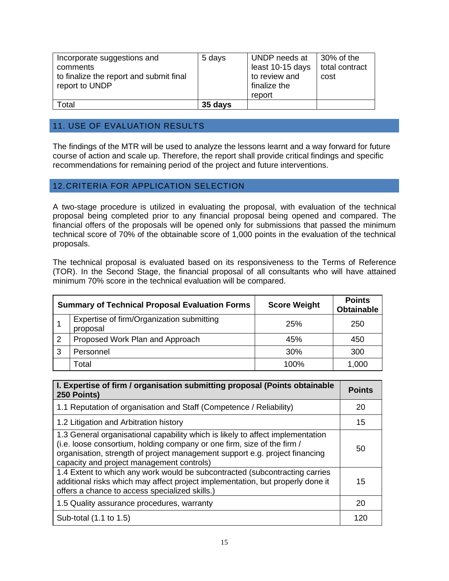| Incorporate suggestions and<br>comments<br>to finalize the report and submit final<br>report to UNDP | 5 days  | UNDP needs at<br>least 10-15 days<br>to review and<br>finalize the<br>report | 30% of the<br>total contract<br>cost |
|------------------------------------------------------------------------------------------------------|---------|------------------------------------------------------------------------------|--------------------------------------|
| Total                                                                                                | 35 days |                                                                              |                                      |

## 11. USE OF EVALUATION RESULTS

The findings of the MTR will be used to analyze the lessons learnt and a way forward for future course of action and scale up. Therefore, the report shall provide critical findings and specific recommendations for remaining period of the project and future interventions.

### 12.CRITERIA FOR APPLICATION SELECTION

A two-stage procedure is utilized in evaluating the proposal, with evaluation of the technical proposal being completed prior to any financial proposal being opened and compared. The financial offers of the proposals will be opened only for submissions that passed the minimum technical score of 70% of the obtainable score of 1,000 points in the evaluation of the technical proposals.

The technical proposal is evaluated based on its responsiveness to the Terms of Reference (TOR). In the Second Stage, the financial proposal of all consultants who will have attained minimum 70% score in the technical evaluation will be compared.

|   | <b>Summary of Technical Proposal Evaluation Forms</b> | <b>Score Weight</b> | <b>Points</b><br><b>Obtainable</b> |
|---|-------------------------------------------------------|---------------------|------------------------------------|
|   | Expertise of firm/Organization submitting<br>proposal | <b>25%</b>          | 250                                |
| 2 | Proposed Work Plan and Approach                       | 45%                 | 450                                |
| 3 | Personnel                                             | 30%                 | 300                                |
|   | Total                                                 | 100%                | 1,000                              |

| I. Expertise of firm / organisation submitting proposal (Points obtainable<br>250 Points)                                                                                                                                                                                             | <b>Points</b> |
|---------------------------------------------------------------------------------------------------------------------------------------------------------------------------------------------------------------------------------------------------------------------------------------|---------------|
| 1.1 Reputation of organisation and Staff (Competence / Reliability)                                                                                                                                                                                                                   | 20            |
| 1.2 Litigation and Arbitration history                                                                                                                                                                                                                                                | 15            |
| 1.3 General organisational capability which is likely to affect implementation<br>(i.e. loose consortium, holding company or one firm, size of the firm /<br>organisation, strength of project management support e.g. project financing<br>capacity and project management controls) | 50            |
| 1.4 Extent to which any work would be subcontracted (subcontracting carries<br>additional risks which may affect project implementation, but properly done it<br>offers a chance to access specialized skills.)                                                                       | 15            |
| 1.5 Quality assurance procedures, warranty                                                                                                                                                                                                                                            | 20            |
| Sub-total (1.1 to 1.5)                                                                                                                                                                                                                                                                | 120           |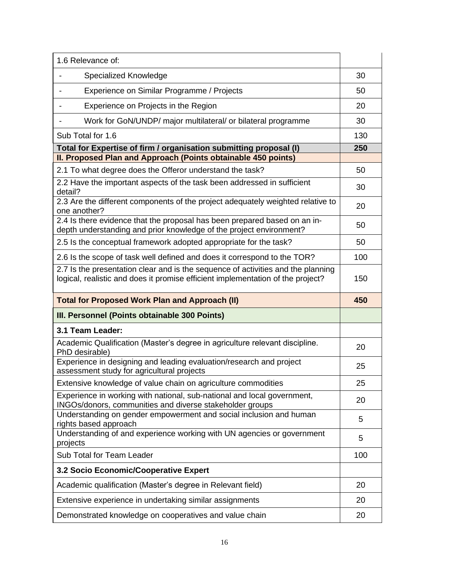| 1.6 Relevance of:                                                                                                                                                   |     |
|---------------------------------------------------------------------------------------------------------------------------------------------------------------------|-----|
| Specialized Knowledge                                                                                                                                               | 30  |
| Experience on Similar Programme / Projects                                                                                                                          | 50  |
| Experience on Projects in the Region                                                                                                                                | 20  |
| Work for GoN/UNDP/ major multilateral/ or bilateral programme                                                                                                       | 30  |
| Sub Total for 1.6                                                                                                                                                   | 130 |
| Total for Expertise of firm / organisation submitting proposal (I)                                                                                                  | 250 |
| II. Proposed Plan and Approach (Points obtainable 450 points)                                                                                                       |     |
| 2.1 To what degree does the Offeror understand the task?<br>2.2 Have the important aspects of the task been addressed in sufficient                                 | 50  |
| detail?                                                                                                                                                             | 30  |
| 2.3 Are the different components of the project adequately weighted relative to<br>one another?                                                                     | 20  |
| 2.4 Is there evidence that the proposal has been prepared based on an in-<br>depth understanding and prior knowledge of the project environment?                    | 50  |
| 2.5 Is the conceptual framework adopted appropriate for the task?                                                                                                   | 50  |
| 2.6 Is the scope of task well defined and does it correspond to the TOR?                                                                                            | 100 |
| 2.7 Is the presentation clear and is the sequence of activities and the planning<br>logical, realistic and does it promise efficient implementation of the project? | 150 |
|                                                                                                                                                                     |     |
| <b>Total for Proposed Work Plan and Approach (II)</b>                                                                                                               | 450 |
| III. Personnel (Points obtainable 300 Points)                                                                                                                       |     |
| 3.1 Team Leader:                                                                                                                                                    |     |
| Academic Qualification (Master's degree in agriculture relevant discipline.<br>PhD desirable)                                                                       | 20  |
| Experience in designing and leading evaluation/research and project<br>assessment study for agricultural projects                                                   | 25  |
| Extensive knowledge of value chain on agriculture commodities                                                                                                       | 25  |
| Experience in working with national, sub-national and local government,<br>INGOs/donors, communities and diverse stakeholder groups                                 | 20  |
| Understanding on gender empowerment and social inclusion and human<br>rights based approach                                                                         | 5   |
| Understanding of and experience working with UN agencies or government<br>projects                                                                                  | 5   |
| Sub Total for Team Leader                                                                                                                                           | 100 |
| 3.2 Socio Economic/Cooperative Expert                                                                                                                               |     |
| Academic qualification (Master's degree in Relevant field)                                                                                                          | 20  |
| Extensive experience in undertaking similar assignments                                                                                                             | 20  |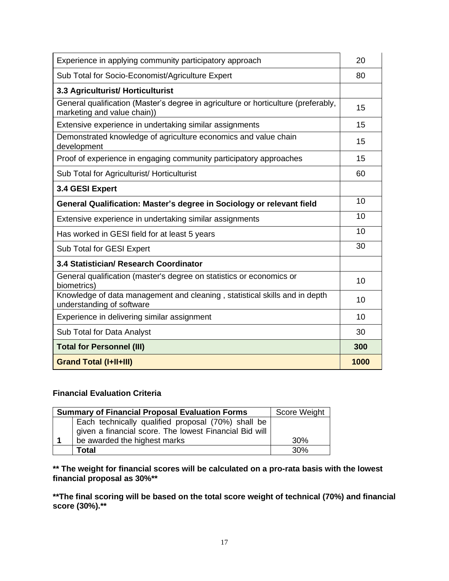| Experience in applying community participatory approach                                                           | 20   |
|-------------------------------------------------------------------------------------------------------------------|------|
| Sub Total for Socio-Economist/Agriculture Expert                                                                  | 80   |
| 3.3 Agriculturist/ Horticulturist                                                                                 |      |
| General qualification (Master's degree in agriculture or horticulture (preferably,<br>marketing and value chain)) | 15   |
| Extensive experience in undertaking similar assignments                                                           | 15   |
| Demonstrated knowledge of agriculture economics and value chain<br>development                                    | 15   |
| Proof of experience in engaging community participatory approaches                                                | 15   |
| Sub Total for Agriculturist/ Horticulturist                                                                       | 60   |
| 3.4 GESI Expert                                                                                                   |      |
| General Qualification: Master's degree in Sociology or relevant field                                             | 10   |
| Extensive experience in undertaking similar assignments                                                           | 10   |
| Has worked in GESI field for at least 5 years                                                                     | 10   |
| Sub Total for GESI Expert                                                                                         | 30   |
| 3.4 Statistician/ Research Coordinator                                                                            |      |
| General qualification (master's degree on statistics or economics or<br>biometrics)                               | 10   |
| Knowledge of data management and cleaning, statistical skills and in depth<br>understanding of software           | 10   |
| Experience in delivering similar assignment                                                                       | 10   |
| Sub Total for Data Analyst                                                                                        | 30   |
| <b>Total for Personnel (III)</b>                                                                                  | 300  |
| <b>Grand Total (I+II+III)</b>                                                                                     | 1000 |

## **Financial Evaluation Criteria**

| <b>Summary of Financial Proposal Evaluation Forms</b>                                                        | Score Weight    |
|--------------------------------------------------------------------------------------------------------------|-----------------|
| Each technically qualified proposal (70%) shall be<br>given a financial score. The lowest Financial Bid will |                 |
| be awarded the highest marks                                                                                 | 30 <sup>%</sup> |
| Total                                                                                                        | 30%             |

**\*\* The weight for financial scores will be calculated on a pro-rata basis with the lowest financial proposal as 30%\*\*** 

**\*\*The final scoring will be based on the total score weight of technical (70%) and financial score (30%).\*\***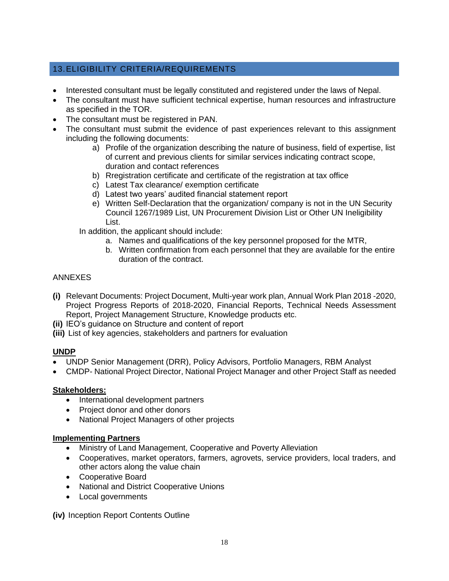# 13.ELIGIBILITY CRITERIA/REQUIREMENTS

- Interested consultant must be legally constituted and registered under the laws of Nepal.
- The consultant must have sufficient technical expertise, human resources and infrastructure as specified in the TOR.
- The consultant must be registered in PAN.
- The consultant must submit the evidence of past experiences relevant to this assignment including the following documents:
	- a) Profile of the organization describing the nature of business, field of expertise, list of current and previous clients for similar services indicating contract scope, duration and contact references
	- b) Rregistration certificate and certificate of the registration at tax office
	- c) Latest Tax clearance/ exemption certificate
	- d) Latest two years' audited financial statement report
	- e) Written Self-Declaration that the organization/ company is not in the UN Security Council 1267/1989 List, UN Procurement Division List or Other UN Ineligibility List.
	- In addition, the applicant should include:
		- a. Names and qualifications of the key personnel proposed for the MTR,
		- b. Written confirmation from each personnel that they are available for the entire duration of the contract.

### ANNEXES

- **(i)** Relevant Documents: Project Document, Multi-year work plan, Annual Work Plan 2018 -2020, Project Progress Reports of 2018-2020, Financial Reports, Technical Needs Assessment Report, Project Management Structure, Knowledge products etc.
- **(ii)** IEO's guidance on Structure and content of report
- **(iii)** List of key agencies, stakeholders and partners for evaluation

### **UNDP**

- UNDP Senior Management (DRR), Policy Advisors, Portfolio Managers, RBM Analyst
- CMDP- National Project Director, National Project Manager and other Project Staff as needed

### **Stakeholders:**

- International development partners
- Project donor and other donors
- National Project Managers of other projects

### **Implementing Partners**

- Ministry of Land Management, Cooperative and Poverty Alleviation
- Cooperatives, market operators, farmers, agrovets, service providers, local traders, and other actors along the value chain
- Cooperative Board
- National and District Cooperative Unions
- Local governments

**(iv)** Inception Report Contents Outline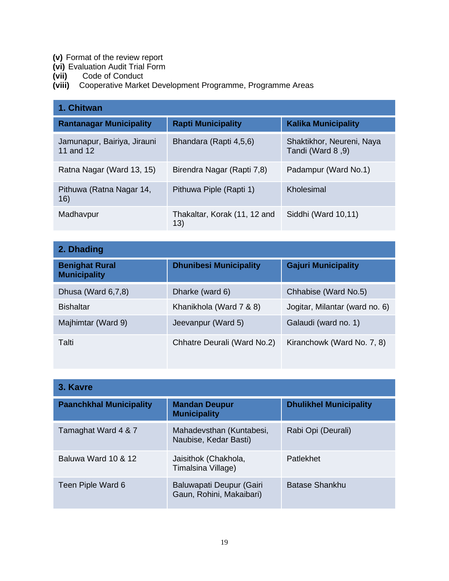- **(v)** Format of the review report
- **(vi)** Evaluation Audit Trial Form
- **(vii)** Code of Conduct
- **(viii)** Cooperative Market Development Programme, Programme Areas

| 1. Chitwan                               |                                      |                                                |
|------------------------------------------|--------------------------------------|------------------------------------------------|
| <b>Rantanagar Municipality</b>           | <b>Rapti Municipality</b>            | <b>Kalika Municipality</b>                     |
| Jamunapur, Bairiya, Jirauni<br>11 and 12 | Bhandara (Rapti 4,5,6)               | Shaktikhor, Neureni, Naya<br>Tandi (Ward 8, 9) |
| Ratna Nagar (Ward 13, 15)                | Birendra Nagar (Rapti 7,8)           | Padampur (Ward No.1)                           |
| Pithuwa (Ratna Nagar 14,<br>16)          | Pithuwa Piple (Rapti 1)              | Kholesimal                                     |
| Madhavpur                                | Thakaltar, Korak (11, 12 and<br>(13) | Siddhi (Ward 10,11)                            |

| 2. Dhading                                   |                               |                                |
|----------------------------------------------|-------------------------------|--------------------------------|
| <b>Benighat Rural</b><br><b>Municipality</b> | <b>Dhunibesi Municipality</b> | <b>Gajuri Municipality</b>     |
| Dhusa (Ward 6,7,8)                           | Dharke (ward 6)               | Chhabise (Ward No.5)           |
| <b>Bishaltar</b>                             | Khanikhola (Ward 7 & 8)       | Jogitar, Milantar (ward no. 6) |
| Majhimtar (Ward 9)                           | Jeevanpur (Ward 5)            | Galaudi (ward no. 1)           |
| Talti                                        | Chhatre Deurali (Ward No.2)   | Kiranchowk (Ward No. 7, 8)     |

| 3. Kavre                       |                                                      |                               |
|--------------------------------|------------------------------------------------------|-------------------------------|
| <b>Paanchkhal Municipality</b> | <b>Mandan Deupur</b><br><b>Municipality</b>          | <b>Dhulikhel Municipality</b> |
| Tamaghat Ward 4 & 7            | Mahadevsthan (Kuntabesi,<br>Naubise, Kedar Basti)    | Rabi Opi (Deurali)            |
| Baluwa Ward 10 & 12            | Jaisithok (Chakhola,<br>Timalsina Village)           | Patlekhet                     |
| Teen Piple Ward 6              | Baluwapati Deupur (Gairi<br>Gaun, Rohini, Makaibari) | Batase Shankhu                |